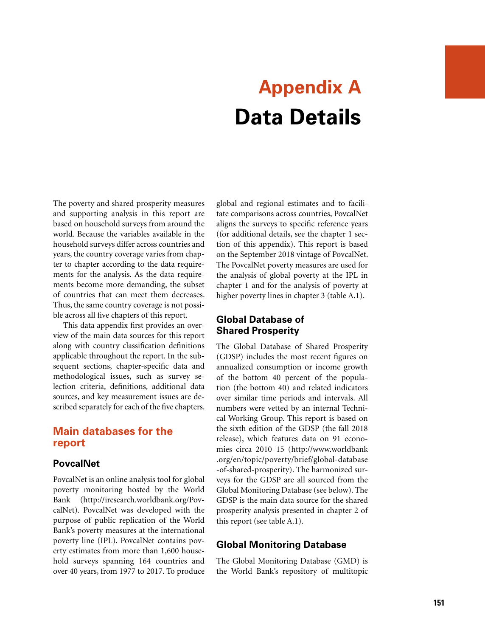# **Appendix A Data Details**

The poverty and shared prosperity measures and supporting analysis in this report are based on household surveys from around the world. Because the variables available in the household surveys differ across countries and years, the country coverage varies from chapter to chapter according to the data requirements for the analysis. As the data requirements become more demanding, the subset of countries that can meet them decreases. Thus, the same country coverage is not possible across all five chapters of this report.

This data appendix first provides an overview of the main data sources for this report along with country classification definitions applicable throughout the report. In the subsequent sections, chapter-specific data and methodological issues, such as survey selection criteria, definitions, additional data sources, and key measurement issues are described separately for each of the five chapters.

# **Main databases for the report**

## **PovcalNet**

PovcalNet is an online analysis tool for global poverty monitoring hosted by the World Bank ([http://iresearch.worldbank.org/Pov](http://iresearch.worldbank.org/PovcalNet)[calNet\)](http://iresearch.worldbank.org/PovcalNet). PovcalNet was developed with the purpose of public replication of the World Bank's poverty measures at the international poverty line (IPL). PovcalNet contains poverty estimates from more than 1,600 household surveys spanning 164 countries and over 40 years, from 1977 to 2017. To produce global and regional estimates and to facilitate comparisons across countries, PovcalNet aligns the surveys to specific reference years (for additional details, see the chapter 1 section of this appendix). This report is based on the September 2018 vintage of PovcalNet. The PovcalNet poverty measures are used for the analysis of global poverty at the IPL in chapter 1 and for the analysis of poverty at higher poverty lines in chapter 3 (table A.1).

# **Global Database of Shared Prosperity**

The Global Database of Shared Prosperity (GDSP) includes the most recent figures on annualized consumption or income growth of the bottom 40 percent of the population (the bottom 40) and related indicators over similar time periods and intervals. All numbers were vetted by an internal Technical Working Group. This report is based on the sixth edition of the GDSP (the fall 2018 release), which features data on 91 economies circa 2010–15 ([http://www.worldbank](http://www.worldbank.org/en/topic/poverty/brief/global-database-of-shared-prosperity) [.org/en/topic/poverty/brief/global-database](http://www.worldbank.org/en/topic/poverty/brief/global-database-of-shared-prosperity) [-of-shared-prosperity](http://www.worldbank.org/en/topic/poverty/brief/global-database-of-shared-prosperity)). The harmonized surveys for the GDSP are all sourced from the Global Monitoring Database (see below). The GDSP is the main data source for the shared prosperity analysis presented in chapter 2 of this report (see table A.1).

# **Global Monitoring Database**

The Global Monitoring Database (GMD) is the World Bank's repository of multitopic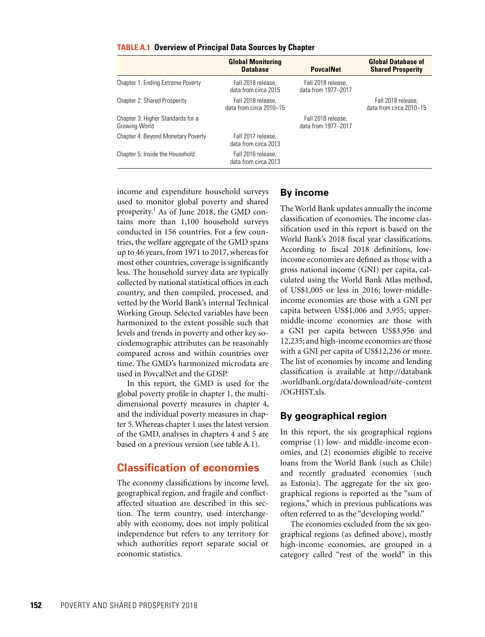|                                                    | <b>Global Monitoring</b><br><b>Database</b>   | <b>PovcalNet</b>                          | <b>Global Database of</b><br><b>Shared Prosperity</b> |
|----------------------------------------------------|-----------------------------------------------|-------------------------------------------|-------------------------------------------------------|
| Chapter 1: Ending Extreme Poverty                  | Fall 2018 release.<br>data from circa 2015    | Fall 2018 release.<br>data from 1977-2017 |                                                       |
| Chapter 2: Shared Prosperity                       | Fall 2018 release.<br>data from circa 2010-15 |                                           | Fall 2018 release.<br>data from circa 2010-15         |
| Chapter 3: Higher Standards for a<br>Growing World |                                               | Fall 2018 release.<br>data from 1977-2017 |                                                       |
| Chapter 4: Beyond Monetary Poverty                 | Fall 2017 release.<br>data from circa 2013    |                                           |                                                       |
| Chapter 5: Inside the Household                    | Fall 2016 release.<br>data from circa 2013    |                                           |                                                       |

#### **TABLE A.1 Overview of Principal Data Sources by Chapter**

income and expenditure household surveys used to monitor global poverty and shared prosperity.<sup>1</sup> As of June 2018, the GMD contains more than 1,100 household surveys conducted in 156 countries. For a few countries, the welfare aggregate of the GMD spans up to 46 years, from 1971 to 2017, whereas for most other countries, coverage is significantly less. The household survey data are typically collected by national statistical offices in each country, and then compiled, processed, and vetted by the World Bank's internal Technical Working Group. Selected variables have been harmonized to the extent possible such that levels and trends in poverty and other key sociodemographic attributes can be reasonably compared across and within countries over time. The GMD's harmonized microdata are used in PovcalNet and the GDSP.

In this report, the GMD is used for the global poverty profile in chapter 1, the multidimensional poverty measures in chapter 4, and the individual poverty measures in chapter 5. Whereas chapter 1 uses the latest version of the GMD, analyses in chapters 4 and 5 are based on a previous version (see table A.1).

# **Classification of economies**

The economy classifications by income level, geographical region, and fragile and conflictaffected situation are described in this section. The term country, used interchangeably with economy, does not imply political independence but refers to any territory for which authorities report separate social or economic statistics.

## **By income**

The World Bank updates annually the income classification of economies. The income classification used in this report is based on the World Bank's 2018 fiscal year classifications. According to fiscal 2018 definitions, lowincome economies are defined as those with a gross national income (GNI) per capita, calculated using the [World Bank Atlas method,](https://datahelpdesk.worldbank.org/knowledgebase/articles/378832-what-is-the-world-bank-atlas-method) of US\$1,005 or less in 2016; lower-middleincome economies are those with a GNI per capita between US\$1,006 and 3,955; uppermiddle-income economies are those with a GNI per capita between US\$3,956 and 12,235; and high-income economies are those with a GNI per capita of US\$12,236 or more. The list of economies by income and lending classification is available at [http://databank](http://databank.worldbank.org/data/download/site-content/OGHIST.xls) [.worldbank.org/data/download/site-content](http://databank.worldbank.org/data/download/site-content/OGHIST.xls) [/OGHIST.xls.](http://databank.worldbank.org/data/download/site-content/OGHIST.xls)

#### **By geographical region**

In this report, the six geographical regions comprise (1) low- and middle-income economies, and (2) economies eligible to receive loans from the World Bank (such as Chile) and recently graduated economies (such as Estonia). The aggregate for the six geographical regions is reported as the "sum of regions," which in previous publications was often referred to as the "developing world."

The economies excluded from the six geographical regions (as defined above), mostly high-income economies, are grouped in a category called "rest of the world" in this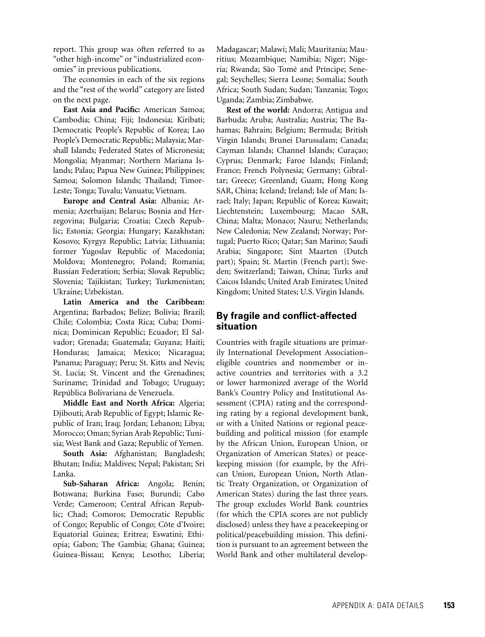report. This group was often referred to as "other high-income" or "industrialized economies" in previous publications.

The economies in each of the six regions and the "rest of the world" category are listed on the next page.

**East Asia and Pacific:** American Samoa; Cambodia; China; Fiji; Indonesia; Kiribati; Democratic People's Republic of Korea; Lao People's Democratic Republic; Malaysia; Marshall Islands; Federated States of Micronesia; Mongolia; Myanmar; Northern Mariana Islands; Palau; Papua New Guinea; Philippines; Samoa; Solomon Islands; Thailand; Timor-Leste; Tonga; Tuvalu; Vanuatu; Vietnam.

**Europe and Central Asia:** Albania; Armenia; Azerbaijan; Belarus; Bosnia and Herzegovina; Bulgaria; Croatia; Czech Republic; Estonia; Georgia; Hungary; Kazakhstan; Kosovo; Kyrgyz Republic; Latvia; Lithuania; former Yugoslav Republic of Macedonia; Moldova; Montenegro; Poland; Romania; Russian Federation; Serbia; Slovak Republic; Slovenia; Tajikistan; Turkey; Turkmenistan; Ukraine; Uzbekistan.

**Latin America and the Caribbean:** Argentina; Barbados; Belize; Bolivia; Brazil; Chile; Colombia; Costa Rica; Cuba; Dominica; Dominican Republic; Ecuador; El Salvador; Grenada; Guatemala; Guyana; Haiti; Honduras; Jamaica; Mexico; Nicaragua; Panama; Paraguay; Peru; St. Kitts and Nevis; St. Lucia; St. Vincent and the Grenadines; Suriname; Trinidad and Tobago; Uruguay; República Bolivariana de Venezuela.

**Middle East and North Africa:** Algeria; Djibouti; Arab Republic of Egypt; Islamic Republic of Iran; Iraq; Jordan; Lebanon; Libya; Morocco; Oman; Syrian Arab Republic; Tunisia; West Bank and Gaza; Republic of Yemen.

**South Asia:** Afghanistan; Bangladesh; Bhutan; India; Maldives; Nepal; Pakistan; Sri Lanka.

**Sub-Saharan Africa:** Angola; Benin; Botswana; Burkina Faso; Burundi; Cabo Verde; Cameroon; Central African Republic; Chad; Comoros; Democratic Republic of Congo; Republic of Congo; Côte d'Ivoire; Equatorial Guinea; Eritrea; Eswatini; Ethiopia; Gabon; The Gambia; Ghana; Guinea; Guinea-Bissau; Kenya; Lesotho; Liberia; Madagascar; Malawi; Mali; Mauritania; Mauritius; Mozambique; Namibia; Niger; Nigeria; Rwanda; São Tomé and Príncipe; Senegal; Seychelles; Sierra Leone; Somalia; South Africa; South Sudan; Sudan; Tanzania; Togo; Uganda; Zambia; Zimbabwe.

**Rest of the world:** Andorra; Antigua and Barbuda; Aruba; Australia; Austria; The Bahamas; Bahrain; Belgium; Bermuda; British Virgin Islands; Brunei Darussalam; Canada; Cayman Islands; Channel Islands; Curaçao; Cyprus; Denmark; Faroe Islands; Finland; France; French Polynesia; Germany; Gibraltar; Greece; Greenland; Guam; Hong Kong SAR, China; Iceland; Ireland; Isle of Man; Israel; Italy; Japan; Republic of Korea; Kuwait; Liechtenstein; Luxembourg; Macao SAR, China; Malta; Monaco; Nauru; Netherlands; New Caledonia; New Zealand; Norway; Portugal; Puerto Rico; Qatar; San Marino; Saudi Arabia; Singapore; Sint Maarten (Dutch part); Spain; St. Martin (French part); Sweden; Switzerland; Taiwan, China; Turks and Caicos Islands; United Arab Emirates; United Kingdom; United States; U.S. Virgin Islands.

# **By fragile and conflict-affected situation**

Countries with fragile situations are primarily International Development Association– eligible countries and nonmember or inactive countries and territories with a 3.2 or lower harmonized average of the World Bank's Country Policy and Institutional Assessment (CPIA) rating and the corresponding rating by a regional development bank, or with a United Nations or regional peacebuilding and political mission (for example by the African Union, European Union, or Organization of American States) or peacekeeping mission (for example, by the African Union, European Union, North Atlantic Treaty Organization, or Organization of American States) during the last three years. The group excludes World Bank countries (for which the CPIA scores are not publicly disclosed) unless they have a peacekeeping or political/peacebuilding mission. This definition is pursuant to an agreement between the World Bank and other multilateral develop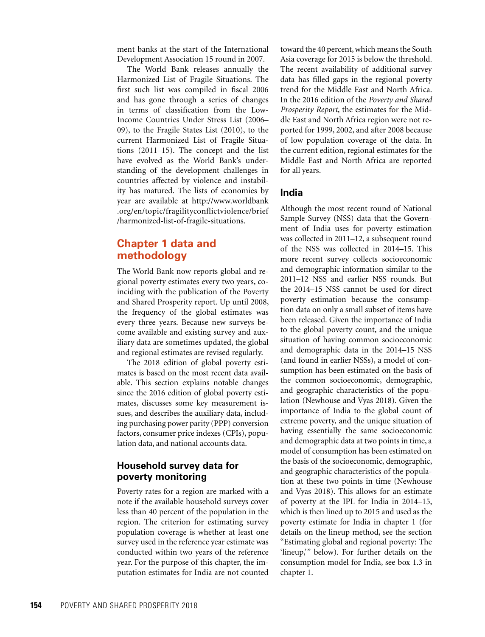ment banks at the start of the International Development Association 15 round in 2007.

The World Bank releases annually the Harmonized List of Fragile Situations. The first such list was compiled in fiscal 2006 and has gone through a series of changes in terms of classification from the Low-Income Countries Under Stress List (2006– 09), to the Fragile States List (2010), to the current Harmonized List of Fragile Situations (2011–15). The concept and the list have evolved as the World Bank's understanding of the development challenges in countries affected by violence and instability has matured. The lists of economies by year are available at [http://www.worldbank](http://www.worldbank.org/en/topic/fragilityconflictviolence/brief/harmonized-list-of-fragile-situations) [.org/en/topic/fragilityconflictviolence/brief](http://www.worldbank.org/en/topic/fragilityconflictviolence/brief/harmonized-list-of-fragile-situations) [/harmonized-list-of-fragile-situations](http://www.worldbank.org/en/topic/fragilityconflictviolence/brief/harmonized-list-of-fragile-situations).

# **Chapter 1 data and methodology**

The World Bank now reports global and regional poverty estimates every two years, coinciding with the publication of the Poverty and Shared Prosperity report. Up until 2008, the frequency of the global estimates was every three years. Because new surveys become available and existing survey and auxiliary data are sometimes updated, the global and regional estimates are revised regularly.

The 2018 edition of global poverty estimates is based on the most recent data available. This section explains notable changes since the 2016 edition of global poverty estimates, discusses some key measurement issues, and describes the auxiliary data, including purchasing power parity (PPP) conversion factors, consumer price indexes (CPIs), population data, and national accounts data.

## **Household survey data for poverty monitoring**

Poverty rates for a region are marked with a note if the available household surveys cover less than 40 percent of the population in the region. The criterion for estimating survey population coverage is whether at least one survey used in the reference year estimate was conducted within two years of the reference year. For the purpose of this chapter, the imputation estimates for India are not counted

toward the 40 percent, which means the South Asia coverage for 2015 is below the threshold. The recent availability of additional survey data has filled gaps in the regional poverty trend for the Middle East and North Africa. In the 2016 edition of the *Poverty and Shared Prosperity Report*, the estimates for the Middle East and North Africa region were not reported for 1999, 2002, and after 2008 because of low population coverage of the data. In the current edition, regional estimates for the Middle East and North Africa are reported for all years.

#### **India**

Although the most recent round of National Sample Survey (NSS) data that the Government of India uses for poverty estimation was collected in 2011–12, a subsequent round of the NSS was collected in 2014–15. This more recent survey collects socioeconomic and demographic information similar to the 2011–12 NSS and earlier NSS rounds. But the 2014–15 NSS cannot be used for direct poverty estimation because the consumption data on only a small subset of items have been released. Given the importance of India to the global poverty count, and the unique situation of having common socioeconomic and demographic data in the 2014–15 NSS (and found in earlier NSSs), a model of consumption has been estimated on the basis of the common socioeconomic, demographic, and geographic characteristics of the population (Newhouse and Vyas 2018). Given the importance of India to the global count of extreme poverty, and the unique situation of having essentially the same socioeconomic and demographic data at two points in time, a model of consumption has been estimated on the basis of the socioeconomic, demographic, and geographic characteristics of the population at these two points in time (Newhouse and Vyas 2018). This allows for an estimate of poverty at the IPL for India in 2014–15, which is then lined up to 2015 and used as the poverty estimate for India in chapter 1 (for details on the lineup method, see the section "Estimating global and regional poverty: The 'lineup,'" below). For further details on the consumption model for India, see box 1.3 in chapter 1.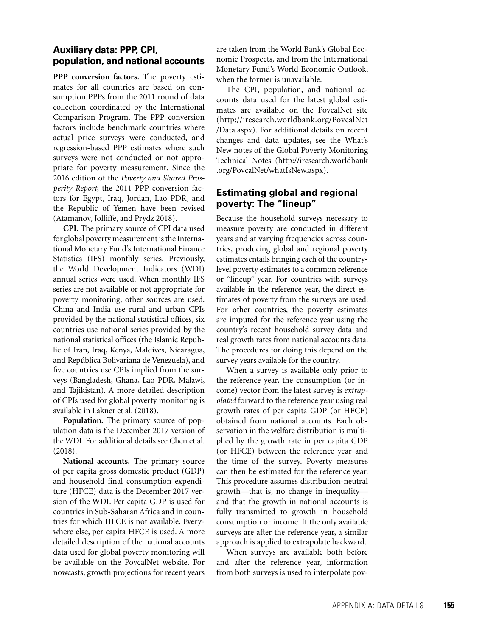# **Auxiliary data: PPP, CPI, population, and national accounts**

**PPP conversion factors.** The poverty estimates for all countries are based on consumption PPPs from the 2011 round of data collection coordinated by the International Comparison Program. The PPP conversion factors include benchmark countries where actual price surveys were conducted, and regression-based PPP estimates where such surveys were not conducted or not appropriate for poverty measurement. Since the 2016 edition of the *Poverty and Shared Prosperity Report*, the 2011 PPP conversion factors for Egypt, Iraq, Jordan, Lao PDR, and the Republic of Yemen have been revised (Atamanov, Jolliffe, and Prydz 2018).

**CPI.** The primary source of CPI data used for global poverty measurement is the International Monetary Fund's International Finance Statistics (IFS) monthly series. Previously, the World Development Indicators (WDI) annual series were used. When monthly IFS series are not available or not appropriate for poverty monitoring, other sources are used. China and India use rural and urban CPIs provided by the national statistical offices, six countries use national series provided by the national statistical offices (the Islamic Republic of Iran, Iraq, Kenya, Maldives, Nicaragua, and República Bolivariana de Venezuela), and five countries use CPIs implied from the surveys (Bangladesh, Ghana, Lao PDR, Malawi, and Tajikistan). A more detailed description of CPIs used for global poverty monitoring is available in Lakner et al. (2018).

**Population.** The primary source of population data is the December 2017 version of the WDI. For additional details see Chen et al. (2018).

**National accounts.** The primary source of per capita gross domestic product (GDP) and household final consumption expenditure (HFCE) data is the December 2017 version of the WDI. Per capita GDP is used for countries in Sub-Saharan Africa and in countries for which HFCE is not available. Everywhere else, per capita HFCE is used. A more detailed description of the national accounts data used for global poverty monitoring will be available on the PovcalNet website. For nowcasts, growth projections for recent years are taken from the World Bank's Global Economic Prospects, and from the International Monetary Fund's World Economic Outlook, when the former is unavailable.

The CPI, population, and national accounts data used for the latest global estimates are available on the PovcalNet site ([http://iresearch.worldbank.org/PovcalNet](http://iresearch.worldbank.org/PovcalNet/Data.aspx) [/Data.aspx\)](http://iresearch.worldbank.org/PovcalNet/Data.aspx). For additional details on recent changes and data updates, see the What's New notes of the Global Poverty Monitoring Technical Notes [\(http://iresearch.worldbank](http://iresearch.worldbank.org/PovcalNet/whatIsNew.aspx) [.org/PovcalNet/whatIsNew.aspx\)](http://iresearch.worldbank.org/PovcalNet/whatIsNew.aspx).

# **Estimating global and regional poverty: The "lineup"**

Because the household surveys necessary to measure poverty are conducted in different years and at varying frequencies across countries, producing global and regional poverty estimates entails bringing each of the countrylevel poverty estimates to a common reference or "lineup" year. For countries with surveys available in the reference year, the direct estimates of poverty from the surveys are used. For other countries, the poverty estimates are imputed for the reference year using the country's recent household survey data and real growth rates from national accounts data. The procedures for doing this depend on the survey years available for the country.

When a survey is available only prior to the reference year, the consumption (or income) vector from the latest survey is *extrapolated* forward to the reference year using real growth rates of per capita GDP (or HFCE) obtained from national accounts. Each observation in the welfare distribution is multiplied by the growth rate in per capita GDP (or HFCE) between the reference year and the time of the survey. Poverty measures can then be estimated for the reference year. This procedure assumes distribution-neutral growth—that is, no change in inequality and that the growth in national accounts is fully transmitted to growth in household consumption or income. If the only available surveys are after the reference year, a similar approach is applied to extrapolate backward.

When surveys are available both before and after the reference year, information from both surveys is used to interpolate pov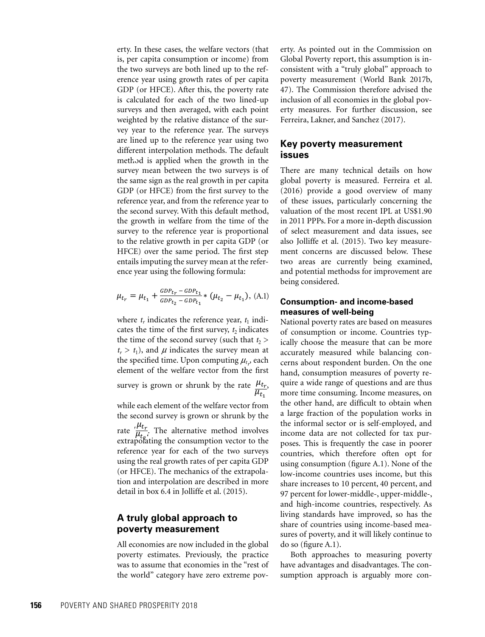erty. In these cases, the welfare vectors (that is, per capita consumption or income) from the two surveys are both lined up to the reference year using growth rates of per capita GDP (or HFCE). After this, the poverty rate is calculated for each of the two lined-up surveys and then averaged, with each point weighted by the relative distance of the survey year to the reference year. The surveys are lined up to the reference year using two different interpolation methods. The default method is applied when the growth in the survey mean between the two surveys is of the same sign as the real growth in per capita GDP (or HFCE) from the first survey to the reference year, and from the reference year to the second survey. With this default method, the growth in welfare from the time of the survey to the reference year is proportional to the relative growth in per capita GDP (or HFCE) over the same period. The first step entails imputing the survey mean at the reference year using the following formula:

$$
\mu_{t_r} = \mu_{t_1} + \frac{GDP_{t_r} - GDP_{t_1}}{GDP_{t_2} - GDP_{t_1}} * (\mu_{t_2} - \mu_{t_1}), \text{ (A.1)}
$$

where  $t_r$  indicates the reference year,  $t_1$  indicates the time of the first survey,  $t_2$  indicates the time of the second survey (such that  $t_2$  >  $t_r > t_1$ ), and  $\mu$  indicates the survey mean at  $t_1 > t_1$ , and  $\mu$  indicates the survey mean at the specified time. Upon computing  $\mu_{t_r}$ , each element of the welfare vector from the first  $\frac{1}{t}$ 

survey is grown or shrunk by the rate  $\frac{\mu_{t_r}}{\mu_{t_1}}$ ,  $\frac{a}{1}$ 

rate  $\frac{\mu_{t_r}}{\mu_{t_r}}$ . The alternative method involves in the extendent of the while each element of the welfare vector from the second survey is grown or shrunk by the extrapolating the consumption vector to the reference year for each of the two surveys using the real growth rates of per capita GDP (or HFCE). The mechanics of the extrapolation and interpolation are described in more detail in box 6.4 in Jolliffe et al. (2015).

## **A truly global approach to poverty measurement**

All economies are now included in the global poverty estimates. Previously, the practice was to assume that economies in the "rest of the world" category have zero extreme poverty. As pointed out in the Commission on Global Poverty report, this assumption is inconsistent with a "truly global" approach to poverty measurement (World Bank 2017b, 47). The Commission therefore advised the inclusion of all economies in the global poverty measures. For further discussion, see Ferreira, Lakner, and Sanchez (2017).

#### **Key poverty measurement issues**

There are many technical details on how global poverty is measured. Ferreira et al. (2016) provide a good overview of many of these issues, particularly concerning the valuation of the most recent IPL at US\$1.90 in 2011 PPPs. For a more in-depth discussion of select measurement and data issues, see also Jolliffe et al. (2015). Two key measurement concerns are discussed below. These two areas are currently being examined, and potential methodss for improvement are being considered.

#### **Consumption- and income-based measures of well-being**

National poverty rates are based on measures of consumption or income. Countries typically choose the measure that can be more accurately measured while balancing concerns about respondent burden. On the one hand, consumption measures of poverty require a wide range of questions and are thus more time consuming. Income measures, on the other hand, are difficult to obtain when a large fraction of the population works in the informal sector or is self-employed, and income data are not collected for tax purposes. This is frequently the case in poorer countries, which therefore often opt for using consumption (figure A.1). None of the low-income countries uses income, but this share increases to 10 percent, 40 percent, and 97 percent for lower-middle-, upper-middle-, and high-income countries, respectively. As living standards have improved, so has the share of countries using income-based measures of poverty, and it will likely continue to do so (figure A.1).

Both approaches to measuring poverty have advantages and disadvantages. The consumption approach is arguably more con-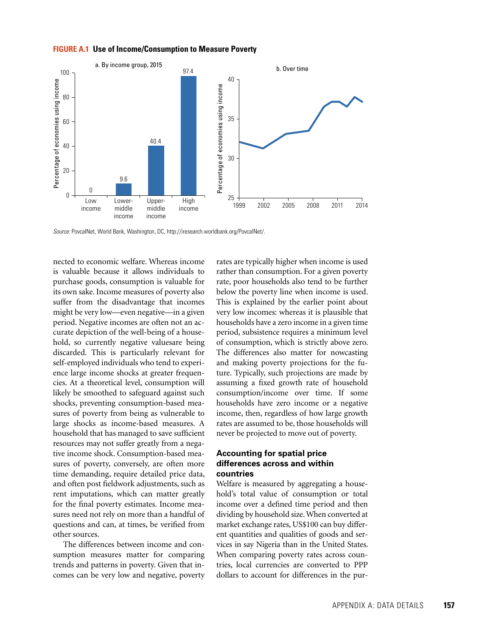#### **FIGURE A.1 Use of Income/Consumption to Measure Poverty**



*Source:* PovcalNet, World Bank, Washington, DC,<http://iresearch.worldbank.org/PovcalNet/>.

nected to economic welfare. Whereas income is valuable because it allows individuals to purchase goods, consumption is valuable for its own sake. Income measures of poverty also suffer from the disadvantage that incomes might be very low—even negative—in a given period. Negative incomes are often not an accurate depiction of the well-being of a household, so currently negative valuesare being discarded. This is particularly relevant for self-employed individuals who tend to experience large income shocks at greater frequencies. At a theoretical level, consumption will likely be smoothed to safeguard against such shocks, preventing consumption-based measures of poverty from being as vulnerable to large shocks as income-based measures. A household that has managed to save sufficient resources may not suffer greatly from a negative income shock. Consumption-based measures of poverty, conversely, are often more time demanding, require detailed price data, and often post fieldwork adjustments, such as rent imputations, which can matter greatly for the final poverty estimates. Income measures need not rely on more than a handful of questions and can, at times, be verified from other sources.

The differences between income and consumption measures matter for comparing trends and patterns in poverty. Given that incomes can be very low and negative, poverty

rates are typically higher when income is used rather than consumption. For a given poverty rate, poor households also tend to be further below the poverty line when income is used. This is explained by the earlier point about very low incomes: whereas it is plausible that households have a zero income in a given time period, subsistence requires a minimum level of consumption, which is strictly above zero. The differences also matter for nowcasting and making poverty projections for the future. Typically, such projections are made by assuming a fixed growth rate of household consumption/income over time. If some households have zero income or a negative income, then, regardless of how large growth rates are assumed to be, those households will never be projected to move out of poverty.

#### **Accounting for spatial price differences across and within countries**

Welfare is measured by aggregating a household's total value of consumption or total income over a defined time period and then dividing by household size. When converted at market exchange rates, US\$100 can buy different quantities and qualities of goods and services in say Nigeria than in the United States. When comparing poverty rates across countries, local currencies are converted to PPP dollars to account for differences in the pur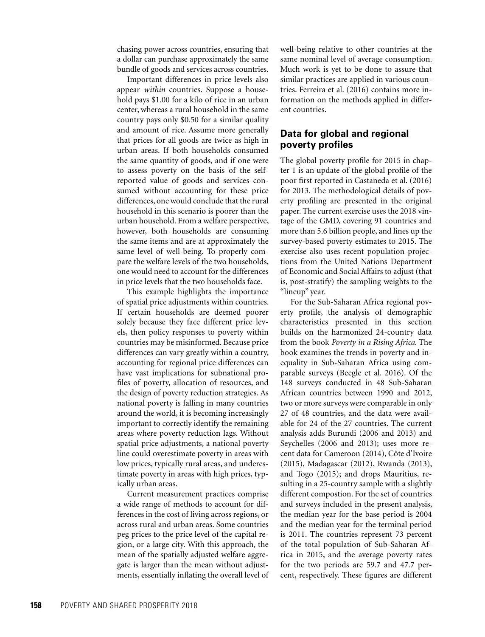chasing power across countries, ensuring that a dollar can purchase approximately the same bundle of goods and services across countries.

Important differences in price levels also appear *within* countries. Suppose a household pays \$1.00 for a kilo of rice in an urban center, whereas a rural household in the same country pays only \$0.50 for a similar quality and amount of rice. Assume more generally that prices for all goods are twice as high in urban areas. If both households consumed the same quantity of goods, and if one were to assess poverty on the basis of the selfreported value of goods and services consumed without accounting for these price differences, one would conclude that the rural household in this scenario is poorer than the urban household. From a welfare perspective, however, both households are consuming the same items and are at approximately the same level of well-being. To properly compare the welfare levels of the two households, one would need to account for the differences in price levels that the two households face.

This example highlights the importance of spatial price adjustments within countries. If certain households are deemed poorer solely because they face different price levels, then policy responses to poverty within countries may be misinformed. Because price differences can vary greatly within a country, accounting for regional price differences can have vast implications for subnational profiles of poverty, allocation of resources, and the design of poverty reduction strategies. As national poverty is falling in many countries around the world, it is becoming increasingly important to correctly identify the remaining areas where poverty reduction lags. Without spatial price adjustments, a national poverty line could overestimate poverty in areas with low prices, typically rural areas, and underestimate poverty in areas with high prices, typically urban areas.

Current measurement practices comprise a wide range of methods to account for differences in the cost of living across regions, or across rural and urban areas. Some countries peg prices to the price level of the capital region, or a large city. With this approach, the mean of the spatially adjusted welfare aggregate is larger than the mean without adjustments, essentially inflating the overall level of

well-being relative to other countries at the same nominal level of average consumption. Much work is yet to be done to assure that similar practices are applied in various countries. Ferreira et al. (2016) contains more information on the methods applied in different countries.

# **Data for global and regional poverty profiles**

The global poverty profile for 2015 in chapter 1 is an update of the global profile of the poor first reported in Castaneda et al. (2016) for 2013. The methodological details of poverty profiling are presented in the original paper. The current exercise uses the 2018 vintage of the GMD, covering 91 countries and more than 5.6 billion people, and lines up the survey-based poverty estimates to 2015. The exercise also uses recent population projections from the United Nations Department of Economic and Social Affairs to adjust (that is, post-stratify) the sampling weights to the "lineup" year.

For the Sub-Saharan Africa regional poverty profile, the analysis of demographic characteristics presented in this section builds on the harmonized 24-country data from the book *Poverty in a Rising Africa*. The book examines the trends in poverty and inequality in Sub-Saharan Africa using comparable surveys (Beegle et al. 2016). Of the 148 surveys conducted in 48 Sub-Saharan African countries between 1990 and 2012, two or more surveys were comparable in only 27 of 48 countries, and the data were available for 24 of the 27 countries. The current analysis adds Burundi (2006 and 2013) and Seychelles (2006 and 2013); uses more recent data for Cameroon (2014), Côte d'Ivoire (2015), Madagascar (2012), Rwanda (2013), and Togo (2015); and drops Mauritius, resulting in a 25-country sample with a slightly different compostion. For the set of countries and surveys included in the present analysis, the median year for the base period is 2004 and the median year for the terminal period is 2011. The countries represent 73 percent of the total population of Sub-Saharan Africa in 2015, and the average poverty rates for the two periods are 59.7 and 47.7 percent, respectively. These figures are different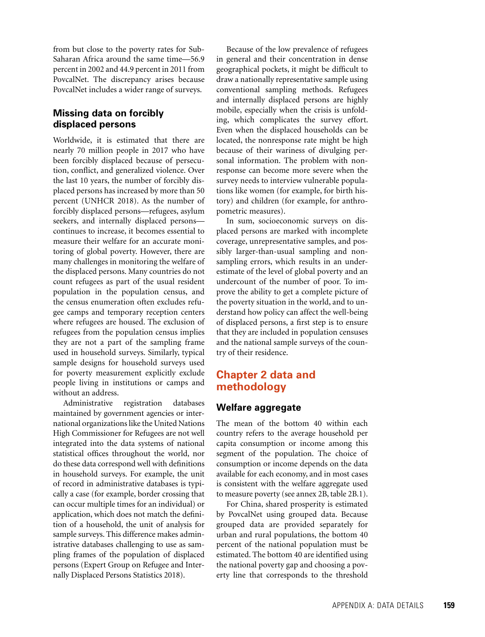from but close to the poverty rates for Sub-Saharan Africa around the same time—56.9 percent in 2002 and 44.9 percent in 2011 from PovcalNet. The discrepancy arises because PovcalNet includes a wider range of surveys.

# **Missing data on forcibly displaced persons**

Worldwide, it is estimated that there are nearly 70 million people in 2017 who have been forcibly displaced because of persecution, conflict, and generalized violence. Over the last 10 years, the number of forcibly displaced persons has increased by more than 50 percent (UNHCR 2018). As the number of forcibly displaced persons—refugees, asylum seekers, and internally displaced persons continues to increase, it becomes essential to measure their welfare for an accurate monitoring of global poverty. However, there are many challenges in monitoring the welfare of the displaced persons. Many countries do not count refugees as part of the usual resident population in the population census, and the census enumeration often excludes refugee camps and temporary reception centers where refugees are housed. The exclusion of refugees from the population census implies they are not a part of the sampling frame used in household surveys. Similarly, typical sample designs for household surveys used for poverty measurement explicitly exclude people living in institutions or camps and without an address.

Administrative registration databases maintained by government agencies or international organizations like the United Nations High Commissioner for Refugees are not well integrated into the data systems of national statistical offices throughout the world, nor do these data correspond well with definitions in household surveys. For example, the unit of record in administrative databases is typically a case (for example, border crossing that can occur multiple times for an individual) or application, which does not match the definition of a household, the unit of analysis for sample surveys. This difference makes administrative databases challenging to use as sampling frames of the population of displaced persons (Expert Group on Refugee and Internally Displaced Persons Statistics 2018).

Because of the low prevalence of refugees in general and their concentration in dense geographical pockets, it might be difficult to draw a nationally representative sample using conventional sampling methods. Refugees and internally displaced persons are highly mobile, especially when the crisis is unfolding, which complicates the survey effort. Even when the displaced households can be located, the nonresponse rate might be high because of their wariness of divulging personal information. The problem with nonresponse can become more severe when the survey needs to interview vulnerable populations like women (for example, for birth history) and children (for example, for anthropometric measures).

In sum, socioeconomic surveys on displaced persons are marked with incomplete coverage, unrepresentative samples, and possibly larger-than-usual sampling and nonsampling errors, which results in an underestimate of the level of global poverty and an undercount of the number of poor. To improve the ability to get a complete picture of the poverty situation in the world, and to understand how policy can affect the well-being of displaced persons, a first step is to ensure that they are included in population censuses and the national sample surveys of the country of their residence.

# **Chapter 2 data and methodology**

#### **Welfare aggregate**

The mean of the bottom 40 within each country refers to the average household per capita consumption or income among this segment of the population. The choice of consumption or income depends on the data available for each economy, and in most cases is consistent with the welfare aggregate used to measure poverty (see annex 2B, table 2B.1).

For China, shared prosperity is estimated by PovcalNet using grouped data. Because grouped data are provided separately for urban and rural populations, the bottom 40 percent of the national population must be estimated. The bottom 40 are identified using the national poverty gap and choosing a poverty line that corresponds to the threshold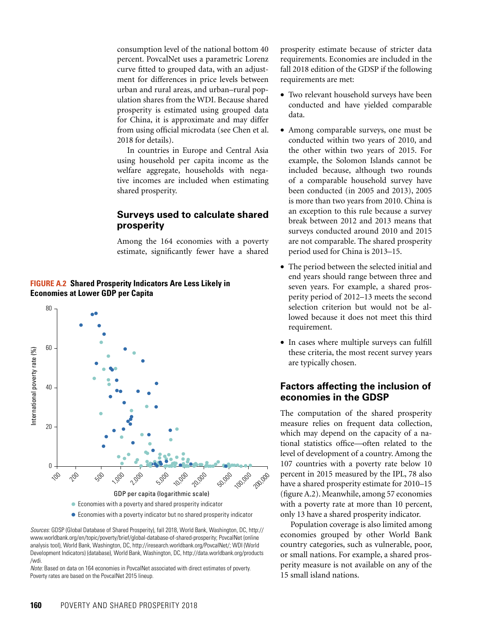consumption level of the national bottom 40 percent. PovcalNet uses a parametric Lorenz curve fitted to grouped data, with an adjustment for differences in price levels between urban and rural areas, and urban–rural population shares from the WDI. Because shared prosperity is estimated using grouped data for China, it is approximate and may differ from using official microdata (see Chen et al. 2018 for details).

In countries in Europe and Central Asia using household per capita income as the welfare aggregate, households with negative incomes are included when estimating shared prosperity.

## **Surveys used to calculate shared prosperity**

Among the 164 economies with a poverty estimate, significantly fewer have a shared

#### **FIGURE A.2 Shared Prosperity Indicators Are Less Likely in Economies at Lower GDP per Capita**



*Sources:* GDSP (Global Database of Shared Prosperity), fall 2018, World Bank, Washington, DC, http:// www.worldbank.org/en/topic/poverty/brief/global-database-of-shared-prosperity; PovcalNet (online analysis tool), World Bank, Washington, DC, http://iresearch.worldbank.org/PovcalNet/; WDI (World Development Indicators) (database), World Bank, Washington, DC, http://data.worldbank.org/products /wdi.

*Note:* Based on data on 164 economies in PovcalNet associated with direct estimates of poverty. Poverty rates are based on the PovcalNet 2015 lineup.

prosperity estimate because of stricter data requirements. Economies are included in the fall 2018 edition of the GDSP if the following requirements are met:

- Two relevant household surveys have been conducted and have yielded comparable data.
- Among comparable surveys, one must be conducted within two years of 2010, and the other within two years of 2015. For example, the Solomon Islands cannot be included because, although two rounds of a comparable household survey have been conducted (in 2005 and 2013), 2005 is more than two years from 2010. China is an exception to this rule because a survey break between 2012 and 2013 means that surveys conducted around 2010 and 2015 are not comparable. The shared prosperity period used for China is 2013–15.
- The period between the selected initial and end years should range between three and seven years. For example, a shared prosperity period of 2012–13 meets the second selection criterion but would not be allowed because it does not meet this third requirement.
- In cases where multiple surveys can fulfill these criteria, the most recent survey years are typically chosen.

# **Factors affecting the inclusion of economies in the GDSP**

The computation of the shared prosperity measure relies on frequent data collection, which may depend on the capacity of a national statistics office—often related to the level of development of a country. Among the 107 countries with a poverty rate below 10 percent in 2015 measured by the IPL, 78 also have a shared prosperity estimate for 2010–15 (figure A.2). Meanwhile, among 57 economies with a poverty rate at more than 10 percent, only 13 have a shared prosperity indicator.

Population coverage is also limited among economies grouped by other World Bank country categories, such as vulnerable, poor, or small nations. For example, a shared prosperity measure is not available on any of the 15 small island nations.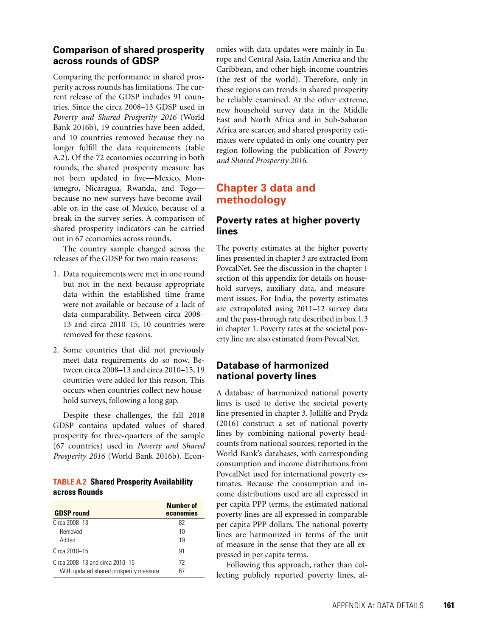# **Comparison of shared prosperity across rounds of GDSP**

Comparing the performance in shared prosperity across rounds has limitations. The current release of the GDSP includes 91 countries. Since the circa 2008–13 GDSP used in *Poverty and Shared Prosperity 2016* (World Bank 2016b), 19 countries have been added, and 10 countries removed because they no longer fulfill the data requirements (table A.2). Of the 72 economies occurring in both rounds, the shared prosperity measure has not been updated in five—Mexico, Montenegro, Nicaragua, Rwanda, and Togo because no new surveys have become available or, in the case of Mexico, because of a break in the survey series. A comparison of shared prosperity indicators can be carried out in 67 economies across rounds.

The country sample changed across the releases of the GDSP for two main reasons:

- 1. Data requirements were met in one round but not in the next because appropriate data within the established time frame were not available or because of a lack of data comparability. Between circa 2008– 13 and circa 2010–15, 10 countries were removed for these reasons.
- 2. Some countries that did not previously meet data requirements do so now. Between circa 2008–13 and circa 2010–15, 19 countries were added for this reason. This occurs when countries collect new household surveys, following a long gap.

Despite these challenges, the fall 2018 GDSP contains updated values of shared prosperity for three-quarters of the sample (67 countries) used in *Poverty and Shared Prosperity 2016* (World Bank 2016b)*.* Econ-

#### **TABLE A.2 Shared Prosperity Availability across Rounds**

| <b>GDSP</b> round                      | Number of<br>economies |
|----------------------------------------|------------------------|
| Circa 2008-13                          | 82                     |
| Removed                                | 10                     |
| hehhA                                  | 19                     |
| Circa 2010-15                          | 91                     |
| Circa 2008–13 and circa 2010–15        | 72                     |
| With updated shared prosperity measure | 67                     |

omies with data updates were mainly in Europe and Central Asia, Latin America and the Caribbean, and other high-income countries (the rest of the world). Therefore, only in these regions can trends in shared prosperity be reliably examined. At the other extreme, new household survey data in the Middle East and North Africa and in Sub-Saharan Africa are scarcer, and shared prosperity estimates were updated in only one country per region following the publication of *Poverty and Shared Prosperity 2016*.

# **Chapter 3 data and methodology**

# **Poverty rates at higher poverty lines**

The poverty estimates at the higher poverty lines presented in chapter 3 are extracted from PovcalNet. See the discussion in the chapter 1 section of this appendix for details on household surveys, auxiliary data, and measurement issues. For India, the poverty estimates are extrapolated using 2011–12 survey data and the pass-through rate described in box 1.3 in chapter 1. Poverty rates at the societal poverty line are also estimated from PovcalNet.

# **Database of harmonized national poverty lines**

A database of harmonized national poverty lines is used to derive the societal poverty line presented in chapter 3. Jolliffe and Prydz (2016) construct a set of national poverty lines by combining national poverty headcounts from national sources, reported in the World Bank's databases, with corresponding consumption and income distributions from PovcalNet used for international poverty estimates. Because the consumption and income distributions used are all expressed in per capita PPP terms, the estimated national poverty lines are all expressed in comparable per capita PPP dollars. The national poverty lines are harmonized in terms of the unit of measure in the sense that they are all expressed in per capita terms.

Following this approach, rather than collecting publicly reported poverty lines, al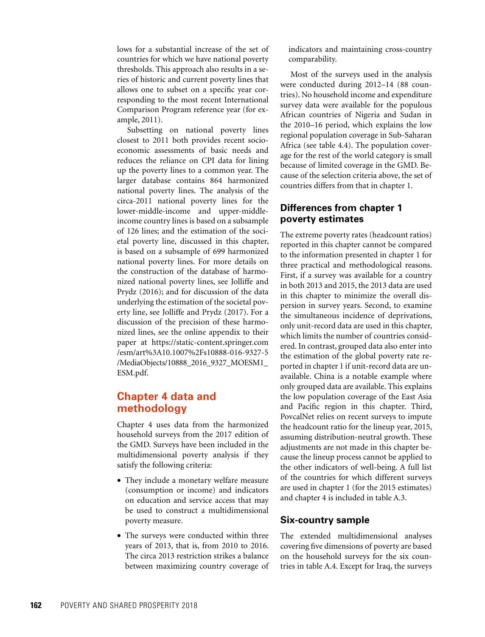lows for a substantial increase of the set of countries for which we have national poverty thresholds. This approach also results in a series of historic and current poverty lines that allows one to subset on a specific year corresponding to the most recent International Comparison Program reference year (for example, 2011).

Subsetting on national poverty lines closest to 2011 both provides recent socioeconomic assessments of basic needs and reduces the reliance on CPI data for lining up the poverty lines to a common year. The larger database contains 864 harmonized national poverty lines. The analysis of the circa-2011 national poverty lines for the lower-middle-income and upper-middleincome country lines is based on a subsample of 126 lines; and the estimation of the societal poverty line, discussed in this chapter, is based on a subsample of 699 harmonized national poverty lines. For more details on the construction of the database of harmonized national poverty lines, see Jolliffe and Prydz (2016); and for discussion of the data underlying the estimation of the societal poverty line, see Jolliffe and Prydz (2017). For a discussion of the precision of these harmonized lines, see the online appendix to their paper at [https://static-content.springer.com](https://static-content.springer.com/esm/art%3A10.1007%2Fs10888-016-9327-5/MediaObjects/10888_2016_9327_MOESM1_ESM.pdf) [/esm/art%3A10.1007%2Fs10888-016-9327-5](https://static-content.springer.com/esm/art%3A10.1007%2Fs10888-016-9327-5/MediaObjects/10888_2016_9327_MOESM1_ESM.pdf) [/MediaObjects/10888\\_2016\\_9327\\_MOESM1\\_](https://static-content.springer.com/esm/art%3A10.1007%2Fs10888-016-9327-5/MediaObjects/10888_2016_9327_MOESM1_ESM.pdf) [ESM.pdf](https://static-content.springer.com/esm/art%3A10.1007%2Fs10888-016-9327-5/MediaObjects/10888_2016_9327_MOESM1_ESM.pdf).

# **Chapter 4 data and methodology**

Chapter 4 uses data from the harmonized household surveys from the 2017 edition of the GMD. Surveys have been included in the multidimensional poverty analysis if they satisfy the following criteria:

- They include a monetary welfare measure (consumption or income) and indicators on education and service access that may be used to construct a multidimensional poverty measure.
- The surveys were conducted within three years of 2013, that is, from 2010 to 2016. The circa 2013 restriction strikes a balance between maximizing country coverage of

indicators and maintaining cross-country comparability.

Most of the surveys used in the analysis were conducted during 2012–14 (88 countries). No household income and expenditure survey data were available for the populous African countries of Nigeria and Sudan in the 2010–16 period, which explains the low regional population coverage in Sub-Saharan Africa (see table 4.4). The population coverage for the rest of the world category is small because of limited coverage in the GMD. Because of the selection criteria above, the set of countries differs from that in chapter 1.

# **Differences from chapter 1 poverty estimates**

The extreme poverty rates (headcount ratios) reported in this chapter cannot be compared to the information presented in chapter 1 for three practical and methodological reasons. First, if a survey was available for a country in both 2013 and 2015, the 2013 data are used in this chapter to minimize the overall dispersion in survey years. Second, to examine the simultaneous incidence of deprivations, only unit-record data are used in this chapter, which limits the number of countries considered. In contrast, grouped data also enter into the estimation of the global poverty rate reported in chapter 1 if unit-record data are unavailable. China is a notable example where only grouped data are available. This explains the low population coverage of the East Asia and Pacific region in this chapter. Third, PovcalNet relies on recent surveys to impute the headcount ratio for the lineup year, 2015, assuming distribution-neutral growth. These adjustments are not made in this chapter because the lineup process cannot be applied to the other indicators of well-being. A full list of the countries for which different surveys are used in chapter 1 (for the 2015 estimates) and chapter 4 is included in table A.3.

# **Six-country sample**

The extended multidimensional analyses covering five dimensions of poverty are based on the household surveys for the six countries in table A.4. Except for Iraq, the surveys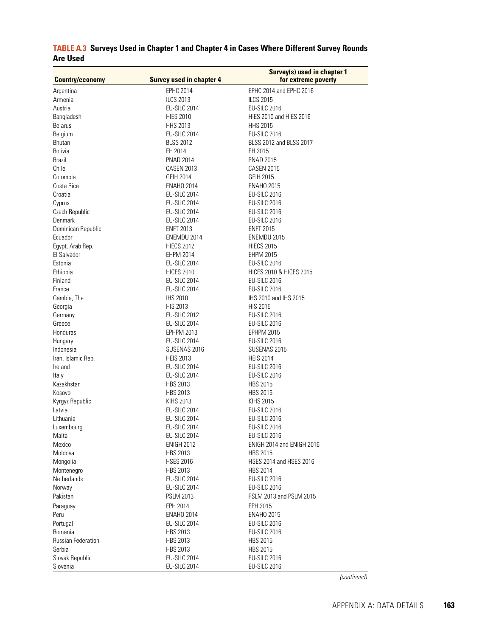| <b>Country/economy</b> | <b>Survey used in chapter 4</b> | Survey(s) used in chapter 1<br>for extreme poverty |
|------------------------|---------------------------------|----------------------------------------------------|
| Argentina              | <b>EPHC 2014</b>                | EPHC 2014 and EPHC 2016                            |
| Armenia                | <b>ILCS 2013</b>                | <b>ILCS 2015</b>                                   |
| Austria                | EU-SILC 2014                    | <b>EU-SILC 2016</b>                                |
| Bangladesh             | <b>HIES 2010</b>                | HIES 2010 and HIES 2016                            |
| <b>Belarus</b>         | HHS 2013                        | <b>HHS 2015</b>                                    |
| Belgium                | EU-SILC 2014                    | <b>EU-SILC 2016</b>                                |
| Bhutan                 | <b>BLSS 2012</b>                | BLSS 2012 and BLSS 2017                            |
| <b>Bolivia</b>         | EH 2014                         | EH 2015                                            |
| <b>Brazil</b>          | PNAD 2014                       | <b>PNAD 2015</b>                                   |
| Chile                  | <b>CASEN 2013</b>               | <b>CASEN 2015</b>                                  |
| Colombia               | GEIH 2014                       | GEIH 2015                                          |
| Costa Rica             | <b>ENAHO 2014</b>               | <b>ENAHO 2015</b>                                  |
| Croatia                | EU-SILC 2014                    | EU-SILC 2016                                       |
| Cyprus                 | EU-SILC 2014                    | <b>EU-SILC 2016</b>                                |
| Czech Republic         | EU-SILC 2014                    | <b>EU-SILC 2016</b>                                |
| Denmark                | EU-SILC 2014                    | EU-SILC 2016                                       |
| Dominican Republic     | <b>ENFT 2013</b>                | <b>ENFT 2015</b>                                   |
| Ecuador                | ENEMDU 2014                     | ENEMDU 2015                                        |
| Egypt, Arab Rep.       | <b>HIECS 2012</b>               | <b>HIECS 2015</b>                                  |
| El Salvador            | EHPM 2014                       | EHPM 2015                                          |
| Estonia                | EU-SILC 2014                    | <b>EU-SILC 2016</b>                                |
| Ethiopia               | <b>HICES 2010</b>               | <b>HICES 2010 &amp; HICES 2015</b>                 |
| Finland                | <b>EU-SILC 2014</b>             | <b>EU-SILC 2016</b>                                |
| France                 | EU-SILC 2014                    | <b>EU-SILC 2016</b>                                |
| Gambia, The            | <b>IHS 2010</b>                 | IHS 2010 and IHS 2015                              |
| Georgia                | <b>HIS 2013</b>                 | <b>HIS 2015</b>                                    |
| Germany                | <b>EU-SILC 2012</b>             | <b>EU-SILC 2016</b>                                |
| Greece                 | EU-SILC 2014                    | <b>EU-SILC 2016</b>                                |
| Honduras               | EPHPM 2013                      | <b>EPHPM 2015</b>                                  |
| Hungary                | EU-SILC 2014                    | <b>EU-SILC 2016</b>                                |
| Indonesia              | SUSENAS 2016                    | SUSENAS 2015                                       |
| Iran, Islamic Rep.     | <b>HEIS 2013</b>                | <b>HEIS 2014</b>                                   |
| Ireland                | EU-SILC 2014                    | EU-SILC 2016                                       |
| Italy                  | EU-SILC 2014                    | <b>EU-SILC 2016</b>                                |
| Kazakhstan             | HBS 2013                        | <b>HBS 2015</b>                                    |
| Kosovo                 | <b>HBS 2013</b>                 | <b>HBS 2015</b>                                    |
| Kyrgyz Republic        | <b>KIHS 2013</b>                | <b>KIHS 2015</b>                                   |
| Latvia                 | EU-SILC 2014                    | <b>EU-SILC 2016</b>                                |
| Lithuania              | EU-SILC 2014                    | EU-SILC 2016                                       |
| Luxembourg             | EU-SILC 2014                    | <b>EU-SILC 2016</b>                                |
| Malta                  | EU-SILC 2014                    | <b>EU-SILC 2016</b>                                |
| Mexico                 | <b>ENIGH 2012</b>               | ENIGH 2014 and ENIGH 2016                          |
| Moldova                | <b>HBS 2013</b>                 | <b>HBS 2015</b>                                    |
| Mongolia               | <b>HSES 2016</b>                | HSES 2014 and HSES 2016                            |
| Montenegro             | HBS 2013                        | <b>HBS 2014</b>                                    |
| Netherlands            | EU-SILC 2014                    | <b>EU-SILC 2016</b>                                |
| Norway                 | EU-SILC 2014                    | <b>EU-SILC 2016</b>                                |
| Pakistan               | <b>PSLM 2013</b>                | PSLM 2013 and PSLM 2015                            |
| Paraguay               | <b>EPH 2014</b>                 | EPH 2015                                           |
| Peru                   | <b>ENAHO 2014</b>               | <b>ENAHO 2015</b>                                  |
| Portugal               | EU-SILC 2014                    | <b>EU-SILC 2016</b>                                |
| Romania                | <b>HBS 2013</b>                 | <b>EU-SILC 2016</b>                                |
| Russian Federation     | <b>HBS 2013</b>                 | <b>HBS 2015</b>                                    |
| Serbia                 | <b>HBS 2013</b>                 | <b>HBS 2015</b>                                    |
| Slovak Republic        | EU-SILC 2014                    | <b>EU-SILC 2016</b>                                |
| Slovenia               | EU-SILC 2014                    | <b>EU-SILC 2016</b>                                |

# **TABLE A.3 Surveys Used in Chapter 1 and Chapter 4 in Cases Where Different Survey Rounds Are Used**

*(continued)*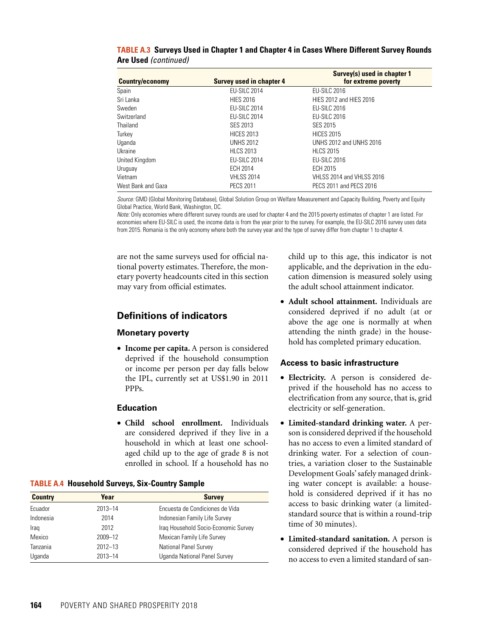| <b>Country/economy</b> | <b>Survey used in chapter 4</b> | Survey(s) used in chapter 1<br>for extreme poverty |
|------------------------|---------------------------------|----------------------------------------------------|
| Spain                  | <b>EU-SILC 2014</b>             | <b>EU-SILC 2016</b>                                |
| Sri Lanka              | <b>HIES 2016</b>                | HIES 2012 and HIES 2016                            |
| Sweden                 | <b>EU-SILC 2014</b>             | <b>EU-SILC 2016</b>                                |
| Switzerland            | <b>EU-SILC 2014</b>             | <b>EU-SILC 2016</b>                                |
| Thailand               | SES 2013                        | SES 2015                                           |
| Turkey                 | <b>HICES 2013</b>               | <b>HICES 2015</b>                                  |
| Uganda                 | <b>UNHS 2012</b>                | UNHS 2012 and UNHS 2016                            |
| Ukraine                | <b>HLCS 2013</b>                | <b>HLCS 2015</b>                                   |
| United Kingdom         | <b>EU-SILC 2014</b>             | <b>EU-SILC 2016</b>                                |
| Uruguay                | ECH 2014                        | ECH 2015                                           |
| Vietnam                | <b>VHLSS 2014</b>               | <b>VHLSS 2014 and VHLSS 2016</b>                   |
| West Bank and Gaza     | <b>PECS 2011</b>                | PECS 2011 and PECS 2016                            |

**TABLE A.3 Surveys Used in Chapter 1 and Chapter 4 in Cases Where Different Survey Rounds Are Used** *(continued)*

*Source:* GMD (Global Monitoring Database), Global Solution Group on Welfare Measurement and Capacity Building, Poverty and Equity Global Practice, World Bank, Washington, DC.

*Note:* Only economies where different survey rounds are used for chapter 4 and the 2015 poverty estimates of chapter 1 are listed. For economies where EU-SILC is used, the income data is from the year prior to the survey. For example, the EU-SILC 2016 survey uses data from 2015. Romania is the only economy where both the survey year and the type of survey differ from chapter 1 to chapter 4.

are not the same surveys used for official national poverty estimates. Therefore, the monetary poverty headcounts cited in this section may vary from official estimates.

## **Definitions of indicators**

#### **Monetary poverty**

• **Income per capita.** A person is considered deprived if the household consumption or income per person per day falls below the IPL, currently set at US\$1.90 in 2011 PPPs.

#### **Education**

• **Child school enrollment.** Individuals are considered deprived if they live in a household in which at least one schoolaged child up to the age of grade 8 is not enrolled in school. If a household has no

**TABLE A.4 Household Surveys, Six-Country Sample**

| <b>Country</b> | Year        | <b>Survey</b>                        |
|----------------|-------------|--------------------------------------|
| Ecuador        | $2013 - 14$ | Encuesta de Condiciones de Vida      |
| Indonesia      | 2014        | Indonesian Family Life Survey        |
| Iraq           | 2012        | Iraq Household Socio-Economic Survey |
| Mexico         | 2009-12     | Mexican Family Life Survey           |
| Tanzania       | $2012 - 13$ | National Panel Survey                |
| Uganda         | $2013 - 14$ | Uganda National Panel Survey         |

child up to this age, this indicator is not applicable, and the deprivation in the education dimension is measured solely using the adult school attainment indicator.

• **Adult school attainment.** Individuals are considered deprived if no adult (at or above the age one is normally at when attending the ninth grade) in the household has completed primary education.

#### **Access to basic infrastructure**

- **Electricity.** A person is considered deprived if the household has no access to electrification from any source, that is, grid electricity or self-generation.
- **Limited-standard drinking water.** A person is considered deprived if the household has no access to even a limited standard of drinking water. For a selection of countries, a variation closer to the Sustainable Development Goals' safely managed drinking water concept is available: a household is considered deprived if it has no access to basic drinking water (a limitedstandard source that is within a round-trip time of 30 minutes).
- **Limited-standard sanitation.** A person is considered deprived if the household has no access to even a limited standard of san-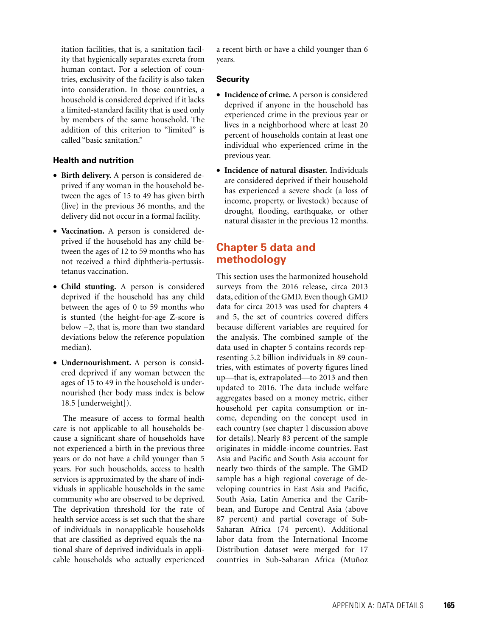itation facilities, that is, a sanitation facility that hygienically separates excreta from human contact. For a selection of countries, exclusivity of the facility is also taken into consideration. In those countries, a household is considered deprived if it lacks a limited-standard facility that is used only by members of the same household. The addition of this criterion to "limited" is called "basic sanitation."

#### **Health and nutrition**

- **Birth delivery.** A person is considered deprived if any woman in the household between the ages of 15 to 49 has given birth (live) in the previous 36 months, and the delivery did not occur in a formal facility.
- **Vaccination.** A person is considered deprived if the household has any child between the ages of 12 to 59 months who has not received a third diphtheria-pertussistetanus vaccination.
- **Child stunting.** A person is considered deprived if the household has any child between the ages of 0 to 59 months who is stunted (the height-for-age Z-score is below −2, that is, more than two standard deviations below the reference population median).
- **Undernourishment.** A person is considered deprived if any woman between the ages of 15 to 49 in the household is undernourished (her body mass index is below 18.5 [underweight]).

The measure of access to formal health care is not applicable to all households because a significant share of households have not experienced a birth in the previous three years or do not have a child younger than 5 years. For such households, access to health services is approximated by the share of individuals in applicable households in the same community who are observed to be deprived. The deprivation threshold for the rate of health service access is set such that the share of individuals in nonapplicable households that are classified as deprived equals the national share of deprived individuals in applicable households who actually experienced

a recent birth or have a child younger than 6 years.

#### **Security**

- **Incidence of crime.** A person is considered deprived if anyone in the household has experienced crime in the previous year or lives in a neighborhood where at least 20 percent of households contain at least one individual who experienced crime in the previous year.
- **Incidence of natural disaster.** Individuals are considered deprived if their household has experienced a severe shock (a loss of income, property, or livestock) because of drought, flooding, earthquake, or other natural disaster in the previous 12 months.

# **Chapter 5 data and methodology**

This section uses the harmonized household surveys from the 2016 release, circa 2013 data, edition of the GMD. Even though GMD data for circa 2013 was used for chapters 4 and 5, the set of countries covered differs because different variables are required for the analysis. The combined sample of the data used in chapter 5 contains records representing 5.2 billion individuals in 89 countries, with estimates of poverty figures lined up—that is, extrapolated—to 2013 and then updated to 2016. The data include welfare aggregates based on a money metric, either household per capita consumption or income, depending on the concept used in each country (see chapter 1 discussion above for details). Nearly 83 percent of the sample originates in middle-income countries. East Asia and Pacific and South Asia account for nearly two-thirds of the sample. The GMD sample has a high regional coverage of developing countries in East Asia and Pacific, South Asia, Latin America and the Caribbean, and Europe and Central Asia (above 87 percent) and partial coverage of Sub-Saharan Africa (74 percent). Additional labor data from the International Income Distribution dataset were merged for 17 countries in Sub-Saharan Africa (Muñoz